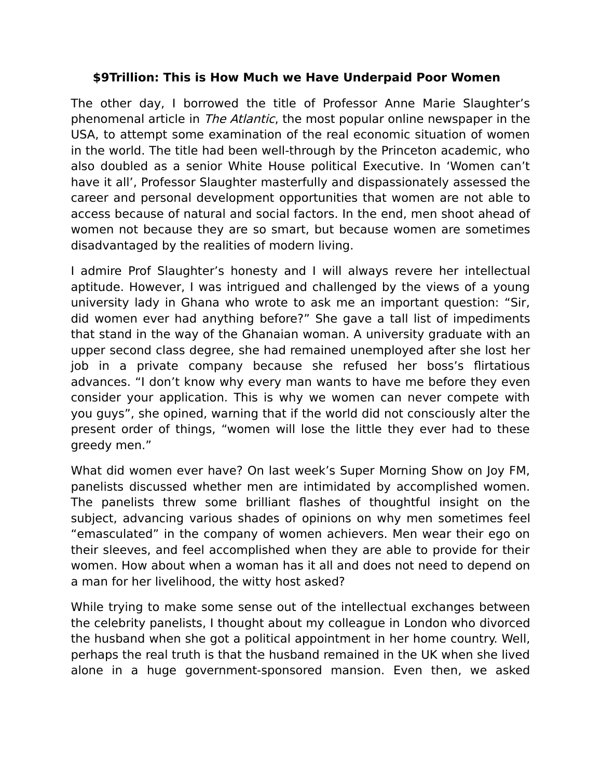## **\$9Trillion: This is How Much we Have Underpaid Poor Women**

The other day, I borrowed the title of Professor Anne Marie Slaughter's phenomenal article in The Atlantic, the most popular online newspaper in the USA, to attempt some examination of the real economic situation of women in the world. The title had been well-through by the Princeton academic, who also doubled as a senior White House political Executive. In 'Women can't have it all', Professor Slaughter masterfully and dispassionately assessed the career and personal development opportunities that women are not able to access because of natural and social factors. In the end, men shoot ahead of women not because they are so smart, but because women are sometimes disadvantaged by the realities of modern living.

I admire Prof Slaughter's honesty and I will always revere her intellectual aptitude. However, I was intrigued and challenged by the views of a young university lady in Ghana who wrote to ask me an important question: "Sir, did women ever had anything before?" She gave a tall list of impediments that stand in the way of the Ghanaian woman. A university graduate with an upper second class degree, she had remained unemployed after she lost her job in a private company because she refused her boss's flirtatious advances. "I don't know why every man wants to have me before they even consider your application. This is why we women can never compete with you guys", she opined, warning that if the world did not consciously alter the present order of things, "women will lose the little they ever had to these greedy men."

What did women ever have? On last week's Super Morning Show on Joy FM, panelists discussed whether men are intimidated by accomplished women. The panelists threw some brilliant flashes of thoughtful insight on the subject, advancing various shades of opinions on why men sometimes feel "emasculated" in the company of women achievers. Men wear their ego on their sleeves, and feel accomplished when they are able to provide for their women. How about when a woman has it all and does not need to depend on a man for her livelihood, the witty host asked?

While trying to make some sense out of the intellectual exchanges between the celebrity panelists, I thought about my colleague in London who divorced the husband when she got a political appointment in her home country. Well, perhaps the real truth is that the husband remained in the UK when she lived alone in a huge government-sponsored mansion. Even then, we asked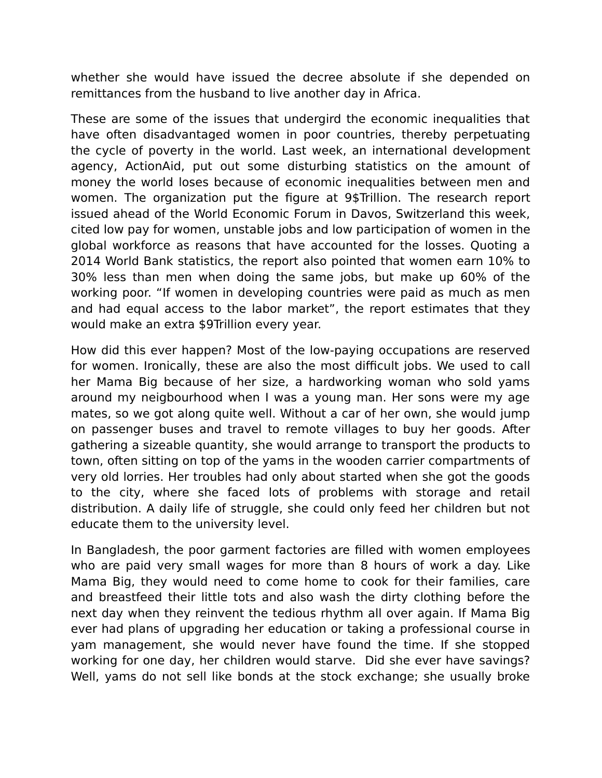whether she would have issued the decree absolute if she depended on remittances from the husband to live another day in Africa.

These are some of the issues that undergird the economic inequalities that have often disadvantaged women in poor countries, thereby perpetuating the cycle of poverty in the world. Last week, an international development agency, ActionAid, put out some disturbing statistics on the amount of money the world loses because of economic inequalities between men and women. The organization put the figure at 9\$Trillion. The research report issued ahead of the World Economic Forum in Davos, Switzerland this week, cited low pay for women, unstable jobs and low participation of women in the global workforce as reasons that have accounted for the losses. Quoting a 2014 World Bank statistics, the report also pointed that women earn 10% to 30% less than men when doing the same jobs, but make up 60% of the working poor. "If women in developing countries were paid as much as men and had equal access to the labor market", the report estimates that they would make an extra \$9Trillion every year.

How did this ever happen? Most of the low-paying occupations are reserved for women. Ironically, these are also the most difficult jobs. We used to call her Mama Big because of her size, a hardworking woman who sold yams around my neigbourhood when I was a young man. Her sons were my age mates, so we got along quite well. Without a car of her own, she would jump on passenger buses and travel to remote villages to buy her goods. After gathering a sizeable quantity, she would arrange to transport the products to town, often sitting on top of the yams in the wooden carrier compartments of very old lorries. Her troubles had only about started when she got the goods to the city, where she faced lots of problems with storage and retail distribution. A daily life of struggle, she could only feed her children but not educate them to the university level.

In Bangladesh, the poor garment factories are filled with women employees who are paid very small wages for more than 8 hours of work a day. Like Mama Big, they would need to come home to cook for their families, care and breastfeed their little tots and also wash the dirty clothing before the next day when they reinvent the tedious rhythm all over again. If Mama Big ever had plans of upgrading her education or taking a professional course in yam management, she would never have found the time. If she stopped working for one day, her children would starve. Did she ever have savings? Well, yams do not sell like bonds at the stock exchange; she usually broke